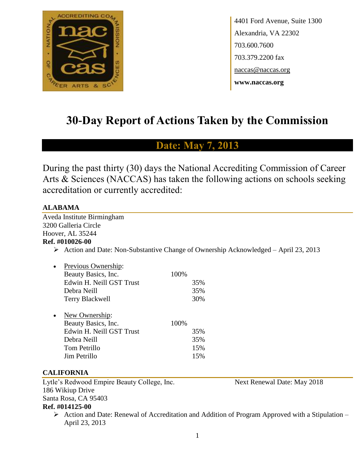

4401 Ford Avenue, Suite 1300 Alexandria, VA 22302 703.600.7600 703.379.2200 fax naccas@naccas.org **www.naccas.org**

# **30-Day Report of Actions Taken by the Commission**

# **Date: May 7, 2013**

During the past thirty (30) days the National Accrediting Commission of Career Arts & Sciences (NACCAS) has taken the following actions on schools seeking accreditation or currently accredited:

#### **ALABAMA**

Aveda Institute Birmingham 3200 Galleria Circle Hoover, AL 35244

# **Ref. #010026-00**

 $\triangleright$  Action and Date: Non-Substantive Change of Ownership Acknowledged – April 23, 2013

|           | Previous Ownership:      |      |     |
|-----------|--------------------------|------|-----|
|           | Beauty Basics, Inc.      | 100% |     |
|           | Edwin H. Neill GST Trust |      | 35% |
|           | Debra Neill              |      | 35% |
|           | <b>Terry Blackwell</b>   |      | 30% |
|           |                          |      |     |
| $\bullet$ | New Ownership:           |      |     |
|           | Beauty Basics, Inc.      | 100% |     |
|           | Edwin H. Neill GST Trust |      | 35% |
|           | Debra Neill              |      | 35% |
|           | Tom Petrillo             |      | 15% |
|           | Jim Petrillo             |      | 15% |
|           |                          |      |     |

### **CALIFORNIA**

Lytle's Redwood Empire Beauty College, Inc. Next Renewal Date: May 2018 186 Wikiup Drive Santa Rosa, CA 95403

#### **Ref. #014125-00**

 $\triangleright$  Action and Date: Renewal of Accreditation and Addition of Program Approved with a Stipulation – April 23, 2013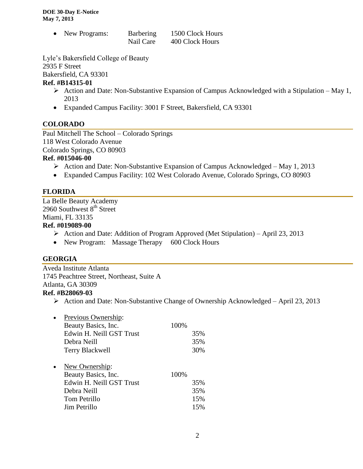| New Programs: | Barbering | 1500 Clock Hours |
|---------------|-----------|------------------|
|               | Nail Care | 400 Clock Hours  |

Lyle's Bakersfield College of Beauty

2935 F Street

Bakersfield, CA 93301

### **Ref. #B14315-01**

- $\triangleright$  Action and Date: Non-Substantive Expansion of Campus Acknowledged with a Stipulation May 1, 2013
- Expanded Campus Facility: 3001 F Street, Bakersfield, CA 93301

# **COLORADO**

Paul Mitchell The School – Colorado Springs 118 West Colorado Avenue Colorado Springs, CO 80903

# **Ref. #015046-00**

- Action and Date: Non-Substantive Expansion of Campus Acknowledged May 1, 2013
- Expanded Campus Facility: 102 West Colorado Avenue, Colorado Springs, CO 80903

# **FLORIDA**

La Belle Beauty Academy 2960 Southwest  $8<sup>th</sup>$  Street Miami, FL 33135

### **Ref. #019089-00**

- Action and Date: Addition of Program Approved (Met Stipulation) April 23, 2013
- New Program: Massage Therapy 600 Clock Hours

# **GEORGIA**

Aveda Institute Atlanta 1745 Peachtree Street, Northeast, Suite A Atlanta, GA 30309

### **Ref. #B28069-03**

| Previous Ownership:      |      |     |
|--------------------------|------|-----|
| Beauty Basics, Inc.      | 100% |     |
| Edwin H. Neill GST Trust |      | 35% |
| Debra Neill              |      | 35% |
| <b>Terry Blackwell</b>   |      | 30% |
|                          |      |     |
| New Ownership:           |      |     |
| Beauty Basics, Inc.      | 100% |     |
| Edwin H. Neill GST Trust |      | 35% |
| Debra Neill              |      | 35% |
| Tom Petrillo             |      | 15% |
| Jim Petrillo             |      | 15% |
|                          |      |     |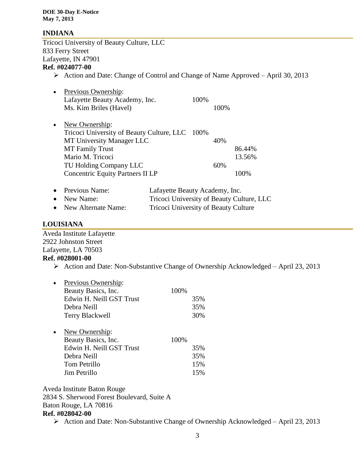#### **INDIANA**

Tricoci University of Beauty Culture, LLC 833 Ferry Street Lafayette, IN 47901 **Ref. #024077-00**

 $\triangleright$  Action and Date: Change of Control and Change of Name Approved – April 30, 2013

| $\bullet$ | Previous Ownership:                            |      |      |        |
|-----------|------------------------------------------------|------|------|--------|
|           | Lafayette Beauty Academy, Inc.                 | 100% |      |        |
|           | Ms. Kim Briles (Havel)                         |      | 100% |        |
|           |                                                |      |      |        |
| $\bullet$ | New Ownership:                                 |      |      |        |
|           | Tricoci University of Beauty Culture, LLC 100% |      |      |        |
|           | MT University Manager LLC                      |      | 40%  |        |
|           | <b>MT</b> Family Trust                         |      |      | 86.44% |
|           | Mario M. Tricoci                               |      |      | 13.56% |
|           | TU Holding Company LLC                         |      | 60%  |        |
|           | <b>Concentric Equity Partners II LP</b>        |      |      |        |
|           |                                                |      |      |        |

| • Previous Name:      | Lafayette Beauty Academy, Inc.            |
|-----------------------|-------------------------------------------|
| $\bullet$ New Name:   | Tricoci University of Beauty Culture, LLC |
| • New Alternate Name: | Tricoci University of Beauty Culture      |

### **LOUISIANA**

Aveda Institute Lafayette 2922 Johnston Street Lafayette, LA 70503 **Ref. #028001-00**

 $\triangleright$  Action and Date: Non-Substantive Change of Ownership Acknowledged – April 23, 2013

| Previous Ownership:<br>Beauty Basics, Inc. | 100\% |     |
|--------------------------------------------|-------|-----|
| Edwin H. Neill GST Trust                   |       | 35% |
| Debra Neill                                |       | 35% |
| Terry Blackwell                            |       | 30% |
|                                            |       |     |
| New Ownership:                             |       |     |
| Beauty Basics, Inc.                        | 100%  |     |
| Edwin H. Neill GST Trust                   |       | 35% |
| Debra Neill                                |       | 35% |
| Tom Petrillo                               |       | 15% |
| Jim Petrillo                               |       | 15% |
|                                            |       |     |

Aveda Institute Baton Rouge 2834 S. Sherwood Forest Boulevard, Suite A Baton Rouge, LA 70816 **Ref. #028042-00**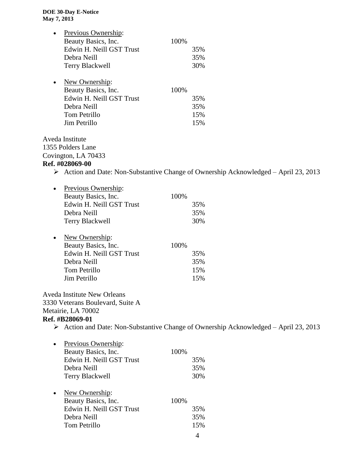| Previous Ownership:                |      |                                                                                                     |
|------------------------------------|------|-----------------------------------------------------------------------------------------------------|
| Beauty Basics, Inc.                | 100% |                                                                                                     |
| Edwin H. Neill GST Trust           |      | 35%                                                                                                 |
| Debra Neill                        |      | 35%                                                                                                 |
| <b>Terry Blackwell</b>             |      | 30%                                                                                                 |
| New Ownership:                     |      |                                                                                                     |
| Beauty Basics, Inc.                | 100% |                                                                                                     |
| Edwin H. Neill GST Trust           |      | 35%                                                                                                 |
| Debra Neill                        |      | 35%                                                                                                 |
| Tom Petrillo                       |      | 15%                                                                                                 |
| Jim Petrillo                       |      | 15%                                                                                                 |
| Aveda Institute                    |      |                                                                                                     |
| 1355 Polders Lane                  |      |                                                                                                     |
| Covington, LA 70433                |      |                                                                                                     |
| Ref. #028069-00                    |      |                                                                                                     |
|                                    |      | $\triangleright$ Action and Date: Non-Substantive Change of Ownership Acknowledged – April 23, 2013 |
| Previous Ownership:<br>$\bullet$   |      |                                                                                                     |
| Beauty Basics, Inc.                | 100% |                                                                                                     |
| Edwin H. Neill GST Trust           |      | 35%                                                                                                 |
| Debra Neill                        |      | 35%                                                                                                 |
| <b>Terry Blackwell</b>             |      | 30%                                                                                                 |
| New Ownership:<br>$\bullet$        |      |                                                                                                     |
| Beauty Basics, Inc.                | 100% |                                                                                                     |
| Edwin H. Neill GST Trust           |      | 35%                                                                                                 |
| Debra Neill                        |      | 35%                                                                                                 |
| Tom Petrillo                       |      | 15%                                                                                                 |
| Jim Petrillo                       |      | 15%                                                                                                 |
| <b>Aveda Institute New Orleans</b> |      |                                                                                                     |
| 3330 Veterans Boulevard, Suite A   |      |                                                                                                     |
| Metairie, LA 70002                 |      |                                                                                                     |
| Ref. #B28069-01                    |      |                                                                                                     |
|                                    |      | $\triangleright$ Action and Date: Non-Substantive Change of Ownership Acknowledged – April 23, 2013 |
| Previous Ownership:<br>$\bullet$   |      |                                                                                                     |
| Beauty Basics, Inc.                | 100% |                                                                                                     |
| Edwin H. Neill GST Trust           |      | 35%                                                                                                 |
| Debra Neill                        |      | 35%                                                                                                 |
| <b>Terry Blackwell</b>             |      | 30%                                                                                                 |
| New Ownership:                     |      |                                                                                                     |
| Beauty Basics, Inc.                | 100% |                                                                                                     |
| Edwin H. Neill GST Trust           |      | 35%                                                                                                 |
| Debra Neill                        |      | 35%                                                                                                 |
| Tom Petrillo                       |      | 15%                                                                                                 |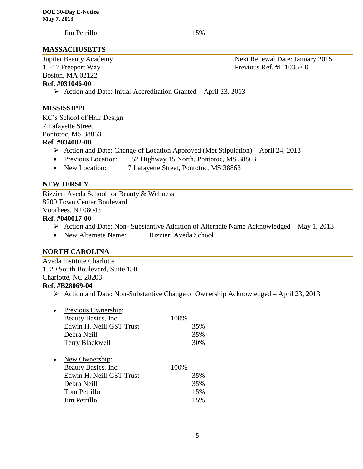Jim Petrillo 15%

#### **MASSACHUSETTS**

# Boston, MA 02122

**Ref. #031046-00**

 $\triangleright$  Action and Date: Initial Accreditation Granted – April 23, 2013

#### **MISSISSIPPI**

KC's School of Hair Design 7 Lafayette Street Pontotoc, MS 38863 **Ref. #034082-00**

- $\triangleright$  Action and Date: Change of Location Approved (Met Stipulation) April 24, 2013
- Previous Location: 152 Highway 15 North, Pontotoc, MS 38863
- New Location: 7 Lafayette Street, Pontotoc, MS 38863

#### **NEW JERSEY**

Rizzieri Aveda School for Beauty & Wellness 8200 Town Center Boulevard Voorhees, NJ 08043

# **Ref. #040017-00**

- $\triangleright$  Action and Date: Non-Substantive Addition of Alternate Name Acknowledged May 1, 2013
- New Alternate Name: Rizzieri Aveda School

#### **NORTH CAROLINA**

Aveda Institute Charlotte 1520 South Boulevard, Suite 150 Charlotte, NC 28203

#### **Ref. #B28069-04**

| Previous Ownership:      |              |     |
|--------------------------|--------------|-----|
| Beauty Basics, Inc.      | 100%         |     |
| Edwin H. Neill GST Trust |              | 35% |
| Debra Neill              |              | 35% |
| <b>Terry Blackwell</b>   |              | 30% |
|                          |              |     |
| New Ownership:           |              |     |
| Beauty Basics, Inc.      | 100%         |     |
| Edwin H. Neill GST Trust |              | 35% |
| Debra Neill              |              | 35% |
| Tom Petrillo             |              | 15% |
|                          |              | 15% |
|                          | Jim Petrillo |     |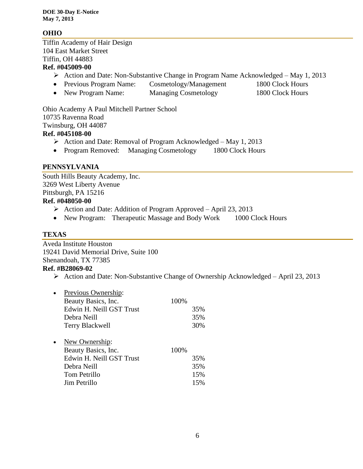**DOE 30-Day E-Notice May 7, 2013**

#### **OHIO**

Tiffin Academy of Hair Design 104 East Market Street Tiffin, OH 44883

### **Ref. #045009-00**

- Action and Date: Non-Substantive Change in Program Name Acknowledged May 1, 2013
- Previous Program Name: Cosmetology/Management 1800 Clock Hours
- New Program Name: Managing Cosmetology 1800 Clock Hours

Ohio Academy A Paul Mitchell Partner School 10735 Ravenna Road Twinsburg, OH 44087 **Ref. #045108-00**

- $\triangleright$  Action and Date: Removal of Program Acknowledged May 1, 2013
- Program Removed: Managing Cosmetology 1800 Clock Hours

#### **PENNSYLVANIA**

South Hills Beauty Academy, Inc. 3269 West Liberty Avenue Pittsburgh, PA 15216 **Ref. #048050-00**

- $\triangleright$  Action and Date: Addition of Program Approved April 23, 2013
- New Program: Therapeutic Massage and Body Work 1000 Clock Hours

#### **TEXAS**

Aveda Institute Houston 19241 David Memorial Drive, Suite 100 Shenandoah, TX 77385

# **Ref. #B28069-02**

|           | Previous Ownership:      |      |     |
|-----------|--------------------------|------|-----|
|           | Beauty Basics, Inc.      | 100% |     |
|           | Edwin H. Neill GST Trust |      | 35% |
|           | Debra Neill              |      | 35% |
|           | <b>Terry Blackwell</b>   |      | 30% |
|           |                          |      |     |
| $\bullet$ | New Ownership:           |      |     |
|           | Beauty Basics, Inc.      | 100% |     |
|           | Edwin H. Neill GST Trust |      | 35% |
|           | Debra Neill              |      | 35% |
|           | Tom Petrillo             |      | 15% |
|           | Jim Petrillo             |      | 15% |
|           |                          |      |     |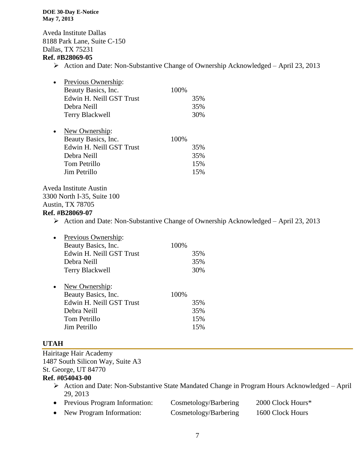#### **DOE 30-Day E-Notice May 7, 2013**

Aveda Institute Dallas 8188 Park Lane, Suite C-150 Dallas, TX 75231 **Ref. #B28069-05**

 $\triangleright$  Action and Date: Non-Substantive Change of Ownership Acknowledged – April 23, 2013

| $\bullet$ | Previous Ownership:      |      |     |
|-----------|--------------------------|------|-----|
|           | Beauty Basics, Inc.      | 100% |     |
|           | Edwin H. Neill GST Trust |      | 35% |
|           | Debra Neill              |      | 35% |
|           | Terry Blackwell          |      | 30% |
| $\bullet$ | New Ownership:           |      |     |
|           | Beauty Basics, Inc.      | 100% |     |
|           | Edwin H. Neill GST Trust |      | 35% |
|           | Debra Neill              |      | 35% |
|           | Tom Petrillo             |      | 15% |
|           | Jim Petrillo             |      | 15% |

Aveda Institute Austin 3300 North I-35, Suite 100 Austin, TX 78705

#### **Ref. #B28069-07**

Action and Date: Non-Substantive Change of Ownership Acknowledged – April 23, 2013

|           | Previous Ownership:      |      |     |
|-----------|--------------------------|------|-----|
|           | Beauty Basics, Inc.      | 100% |     |
|           | Edwin H. Neill GST Trust |      | 35% |
|           | Debra Neill              |      | 35% |
|           | <b>Terry Blackwell</b>   |      | 30% |
| $\bullet$ | New Ownership:           |      |     |
|           | Beauty Basics, Inc.      | 100% |     |
|           | Edwin H. Neill GST Trust |      | 35% |
|           | Debra Neill              |      | 35% |
|           | Tom Petrillo             |      | 15% |
|           | Jim Petrillo             |      | 15% |

### **UTAH**

Hairitage Hair Academy 1487 South Silicon Way, Suite A3 St. George, UT 84770

# **Ref. #054043-00**

 Action and Date: Non-Substantive State Mandated Change in Program Hours Acknowledged – April 29, 2013

| Previous Program Information: | Cosmetology/Barbering | 2000 Clock Hours* |
|-------------------------------|-----------------------|-------------------|
| New Program Information:      | Cosmetology/Barbering | 1600 Clock Hours  |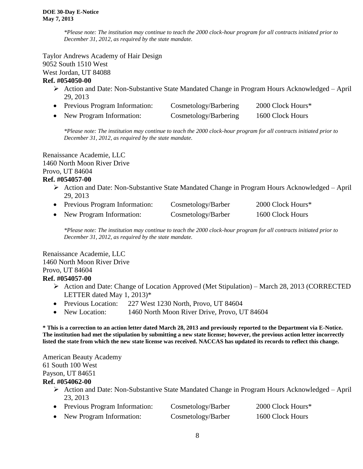*\*Please note: The institution may continue to teach the 2000 clock-hour program for all contracts initiated prior to December 31, 2012, as required by the state mandate.*

Taylor Andrews Academy of Hair Design 9052 South 1510 West West Jordan, UT 84088

#### **Ref. #054050-00**

- $\triangleright$  Action and Date: Non-Substantive State Mandated Change in Program Hours Acknowledged April 29, 2013
- Previous Program Information: Cosmetology/Barbering 2000 Clock Hours\* • New Program Information: Cosmetology/Barbering 1600 Clock Hours

*\*Please note: The institution may continue to teach the 2000 clock-hour program for all contracts initiated prior to December 31, 2012, as required by the state mandate.*

Renaissance Academie, LLC 1460 North Moon River Drive Provo, UT 84604

#### **Ref. #054057-00**

- Action and Date: Non-Substantive State Mandated Change in Program Hours Acknowledged April 29, 2013
- Previous Program Information: Cosmetology/Barber 2000 Clock Hours\*
- New Program Information: Cosmetology/Barber 1600 Clock Hours

*\*Please note: The institution may continue to teach the 2000 clock-hour program for all contracts initiated prior to December 31, 2012, as required by the state mandate.*

Renaissance Academie, LLC 1460 North Moon River Drive Provo, UT 84604 **Ref. #054057-00**

- Action and Date: Change of Location Approved (Met Stipulation) March 28, 2013 (CORRECTED LETTER dated May 1, 2013)\*
- Previous Location: 227 West 1230 North, Provo, UT 84604
- New Location: 1460 North Moon River Drive, Provo, UT 84604

**\* This is a correction to an action letter dated March 28, 2013 and previously reported to the Department via E-Notice. The institution had met the stipulation by submitting a new state license; however, the previous action letter incorrectly listed the state from which the new state license was received. NACCAS has updated its records to reflect this change.** 

American Beauty Academy 61 South 100 West Payson, UT 84651

#### **Ref. #054062-00**

- Action and Date: Non-Substantive State Mandated Change in Program Hours Acknowledged April 23, 2013
- Previous Program Information: Cosmetology/Barber 2000 Clock Hours\*
- New Program Information: Cosmetology/Barber 1600 Clock Hours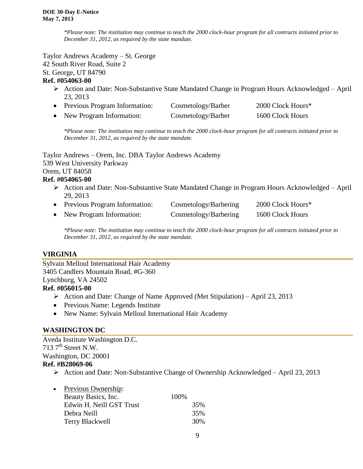*\*Please note: The institution may continue to teach the 2000 clock-hour program for all contracts initiated prior to December 31, 2012, as required by the state mandate.*

Taylor Andrews Academy – St. George 42 South River Road, Suite 2

St. George, UT 84790

### **Ref. #054063-00**

- Action and Date: Non-Substantive State Mandated Change in Program Hours Acknowledged April 23, 2013
- Previous Program Information: Cosmetology/Barber 2000 Clock Hours\* • New Program Information: Cosmetology/Barber 1600 Clock Hours

*\*Please note: The institution may continue to teach the 2000 clock-hour program for all contracts initiated prior to December 31, 2012, as required by the state mandate.*

Taylor Andrews – Orem, Inc. DBA Taylor Andrews Academy 539 West University Parkway Orem, UT 84058

#### **Ref. #054065-00**

- Action and Date: Non-Substantive State Mandated Change in Program Hours Acknowledged April 29, 2013
- Previous Program Information: Cosmetology/Barbering 2000 Clock Hours\*
- New Program Information: Cosmetology/Barbering 1600 Clock Hours

*\*Please note: The institution may continue to teach the 2000 clock-hour program for all contracts initiated prior to December 31, 2012, as required by the state mandate.*

### **VIRGINIA**

Sylvain Melloul International Hair Academy 3405 Candlers Mountain Road, #G-360 Lynchburg, VA 24502 **Ref. #056015-00**

- $\triangleright$  Action and Date: Change of Name Approved (Met Stipulation) April 23, 2013
- Previous Name: Legends Institute
- New Name: Sylvain Melloul International Hair Academy

### **WASHINGTON DC**

Aveda Institute Washington D.C. 713  $7<sup>th</sup>$  Street N.W. Washington, DC 20001 **Ref. #B28069-06**

| $\bullet$ | Previous Ownership:      |      |     |
|-----------|--------------------------|------|-----|
|           | Beauty Basics, Inc.      | 100% |     |
|           | Edwin H. Neill GST Trust |      | 35% |
|           | Debra Neill              |      | 35% |
|           | Terry Blackwell          |      | 30% |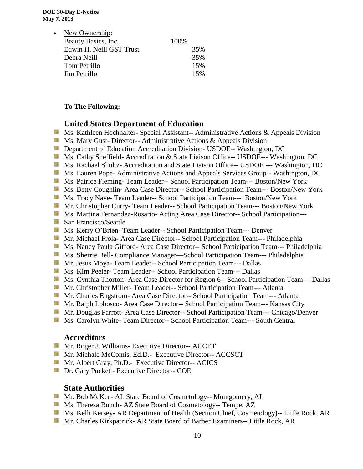| New Ownership:<br>$\bullet$ |       |
|-----------------------------|-------|
| Beauty Basics, Inc.         | 100\% |
| Edwin H. Neill GST Trust    | 35%   |
| Debra Neill                 | 35%   |
| Tom Petrillo                | 15%   |
| Jim Petrillo                | 15%   |

#### **To The Following:**

#### **United States Department of Education**

- **Ms. Kathleen Hochhalter- Special Assistant-- Administrative Actions & Appeals Division**
- **Ms. Mary Gust- Director-- Administrative Actions & Appeals Division**
- **External Department of Education Accreditation Division- USDOE-- Washington, DC**
- Ms. Cathy Sheffield- Accreditation & State Liaison Office-- USDOE--- Washington, DC
- Ms. Rachael Shultz- Accreditation and State Liaison Office-- USDOE --- Washington, DC
- Ms. Lauren Pope- Administrative Actions and Appeals Services Group-- Washington, DC
- Ms. Patrice Fleming-Team Leader-- School Participation Team--- Boston/New York
- Ms. Betty Coughlin- Area Case Director-- School Participation Team--- Boston/New York
- **MS. Tracy Nave-Team Leader-- School Participation Team--- Boston/New York**
- Mr. Christopher Curry- Team Leader-- School Participation Team--- Boston/New York
- **Ms. Martina Fernandez-Rosario- Acting Area Case Director-- School Participation---**
- San Francisco/Seattle
- Ms. Kerry O'Brien- Team Leader-- School Participation Team--- Denver
- **Mr. Michael Frola- Area Case Director-- School Participation Team--- Philadelphia**
- Ms. Nancy Paula Gifford- Area Case Director-- School Participation Team--- Philadelphia
- **Ms. Sherrie Bell- Compliance Manager—School Participation Team--- Philadelphia**
- Mr. Jesus Moya- Team Leader-- School Participation Team--- Dallas
- Ms. Kim Peeler- Team Leader-- School Participation Team--- Dallas
- Ms. Cynthia Thorton- Area Case Director for Region 6-- School Participation Team--- Dallas
- Mr. Christopher Miller-Team Leader-- School Participation Team--- Atlanta
- **Mr.** Charles Engstrom-Area Case Director-- School Participation Team--- Atlanta
- Mr. Ralph Lobosco- Area Case Director-- School Participation Team--- Kansas City
- Mr. Douglas Parrott- Area Case Director-- School Participation Team--- Chicago/Denver
- **MS. Carolyn White-Team Director-- School Participation Team--- South Central**

#### **Accreditors**

- **Mr. Roger J. Williams- Executive Director-- ACCET**
- Mr. Michale McComis, Ed.D.- Executive Director-- ACCSCT
- **Mr.** Albert Gray, Ph.D.- Executive Director-- ACICS
- **Dr.** Gary Puckett- Executive Director-- COE

### **State Authorities**

- Mr. Bob McKee- AL State Board of Cosmetology-- Montgomery, AL
- **Ms.** Theresa Bunch- AZ State Board of Cosmetology-- Tempe, AZ
- Ms. Kelli Kersey- AR Department of Health (Section Chief, Cosmetology)-- Little Rock, AR
- **Mr. Charles Kirkpatrick- AR State Board of Barber Examiners-- Little Rock, AR**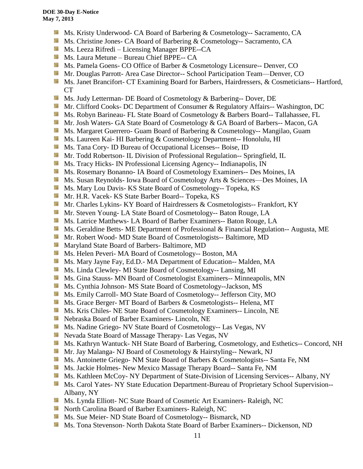- Ms. Kristy Underwood- CA Board of Barbering & Cosmetology-- Sacramento, CA
- Ms. Christine Jones- CA Board of Barbering & Cosmetology-- Sacramento, CA
- **Ms. Leeza Rifredi** Licensing Manager BPPE--CA
- **Ms. Laura Metune Bureau Chief BPPE-- CA**
- **Ms. Pamela Goens- CO Office of Barber & Cosmetology Licensure-- Denver, CO**
- **Mr. Douglas Parrott- Area Case Director-- School Participation Team—Denver, CO**
- **MS. Janet Brancifort- CT Examining Board for Barbers, Hairdressers, & Cosmeticians-- Hartford,** CT
- Side. Ms. Judy Letterman- DE Board of Cosmetology & Barbering-- Dover, DE
- **Mr. Clifford Cooks- DC Department of Consumer & Regulatory Affairs-- Washington, DC**
- Ms. Robyn Barineau- FL State Board of Cosmetology & Barbers Board-- Tallahassee, FL
- **Mr. Josh Waters- GA State Board of Cosmetology & GA Board of Barbers-- Macon, GA**
- Ms. Margaret Guerrero- Guam Board of Barbering & Cosmetology-- Mangilao, Guam
- Ms. Laureen Kai- HI Barbering & Cosmetology Department-- Honolulu, HI
- **Ms.** Tana Cory- ID Bureau of Occupational Licenses-- Boise, ID
- **Mr.** Todd Robertson- IL Division of Professional Regulation-- Springfield, IL
- **Ms.** Tracy Hicks- IN Professional Licensing Agency-- Indianapolis, IN
- **Ms. Rosemary Bonanno- IA Board of Cosmetology Examiners-- Des Moines, IA**
- Ms. Susan Reynolds- Iowa Board of Cosmetology Arts & Sciences—Des Moines, IA
- **Ms. Mary Lou Davis- KS State Board of Cosmetology-- Topeka, KS**
- Mr. H.R. Vacek- KS State Barber Board-- Topeka, KS
- Mr. Charles Lykins- KY Board of Hairdressers & Cosmetologists-- Frankfort, KY
- Mr. Steven Young- LA State Board of Cosmetology-- Baton Rouge, LA
- **Ms. Latrice Matthews- LA Board of Barber Examiners-- Baton Rouge, LA**
- **Ms.** Geraldine Betts- ME Department of Professional & Financial Regulation-- Augusta, ME
- **Mr. Robert Wood- MD State Board of Cosmetologists-- Baltimore, MD**
- **Maryland State Board of Barbers- Baltimore, MD**
- **MS.** Helen Peveri- MA Board of Cosmetology-- Boston, MA
- Ms. Mary Jayne Fay, Ed.D.- MA Department of Education-- Malden, MA
- Ms. Linda Clewley- MI State Board of Cosmetology-- Lansing, MI
- **MS.** Gina Stauss- MN Board of Cosmetologist Examiners-- Minneapolis, MN
- Ms. Cynthia Johnson- MS State Board of Cosmetology--Jackson, MS
- Ms. Emily Carroll- MO State Board of Cosmetology-- Jefferson City, MO
- **Ms.** Grace Berger- MT Board of Barbers & Cosmetologists-- Helena, MT
- **MS.** Kris Chiles- NE State Board of Cosmetology Examiners-- Lincoln, NE
- Nebraska Board of Barber Examiners- Lincoln, NE
- **Ms.** Nadine Griego- NV State Board of Cosmetology-- Las Vegas, NV
- **Nevada State Board of Massage Therapy- Las Vegas, NV**
- **Ms. Kathryn Wantuck- NH State Board of Barbering, Cosmetology, and Esthetics-- Concord, NH**
- Mr. Jay Malanga- NJ Board of Cosmetology & Hairstyling-- Newark, NJ
- **MS.** Antoinette Griego- NM State Board of Barbers & Cosmetologists-- Santa Fe, NM
- Ms. Jackie Holmes- New Mexico Massage Therapy Board-- Santa Fe, NM
- **Ms. Kathleen McCoy- NY Department of State-Division of Licensing Services-- Albany, NY**
- **Ms. Carol Yates- NY State Education Department-Bureau of Proprietary School Supervision--**Albany, NY
- Ms. Lynda Elliott- NC State Board of Cosmetic Art Examiners- Raleigh, NC
- **North Carolina Board of Barber Examiners- Raleigh, NC**
- **MS.** Sue Meier- ND State Board of Cosmetology-- Bismarck, ND
- Ms. Tona Stevenson- North Dakota State Board of Barber Examiners-- Dickenson, ND